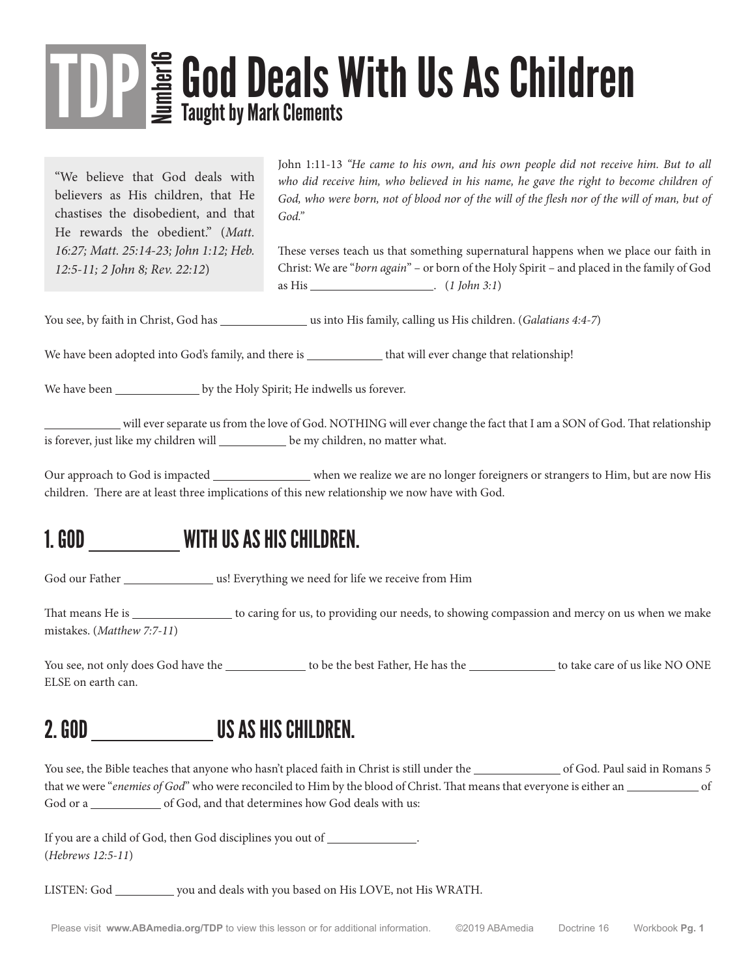# TDP E God Deals With Us As Children Taught by Mark Clements

"We believe that God deals with believers as His children, that He chastises the disobedient, and that He rewards the obedient." (*Matt. 16:27; Matt. 25:14-23; John 1:12; Heb. 12:5-11; 2 John 8; Rev. 22:12*)

John 1:11-13 *"He came to his own, and his own people did not receive him. But to all*  who did receive him, who believed in his name, he gave the right to become children of God, who were born, not of blood nor of the will of the flesh nor of the will of man, but of *God."*

These verses teach us that something supernatural happens when we place our faith in Christ: We are "*born again*" – or born of the Holy Spirit – and placed in the family of God as His . (*1 John 3:1*)

You see, by faith in Christ, God has \_\_\_\_\_\_\_\_\_\_\_\_\_\_\_\_\_\_\_\_us into His family, calling us His children. (*Galatians 4:4-7*)

We have been adopted into God's family, and there is that will ever change that relationship!

We have been \_\_\_\_\_\_\_\_\_\_\_\_\_\_\_\_\_\_ by the Holy Spirit; He indwells us forever.

 will ever separate us from the love of God. NOTHING will ever change the fact that I am a SON of God. That relationship is forever, just like my children will \_\_\_\_\_\_\_\_\_\_ be my children, no matter what.

Our approach to God is impacted \_\_\_\_\_\_\_\_\_\_\_\_\_ when we realize we are no longer foreigners or strangers to Him, but are now His children. There are at least three implications of this new relationship we now have with God.

#### 1. GOD WITH US AS HIS CHILDREN.

God our Father us! Everything we need for life we receive from Him

That means He is subsequently to caring for us, to providing our needs, to showing compassion and mercy on us when we make mistakes. (*Matthew 7:7-11*)

You see, not only does God have the to be the best Father, He has the to take care of us like NO ONE ELSE on earth can.

#### 2. GOD US AS HIS CHILDREN.

You see, the Bible teaches that anyone who hasn't placed faith in Christ is still under the of God. Paul said in Romans 5 that we were "*enemies of God*" who were reconciled to Him by the blood of Christ. That means that everyone is either an <u>second</u> of God or a of God, and that determines how God deals with us:

If you are a child of God, then God disciplines you out of . (*Hebrews 12:5-11*)

LISTEN: God wou and deals with you based on His LOVE, not His WRATH.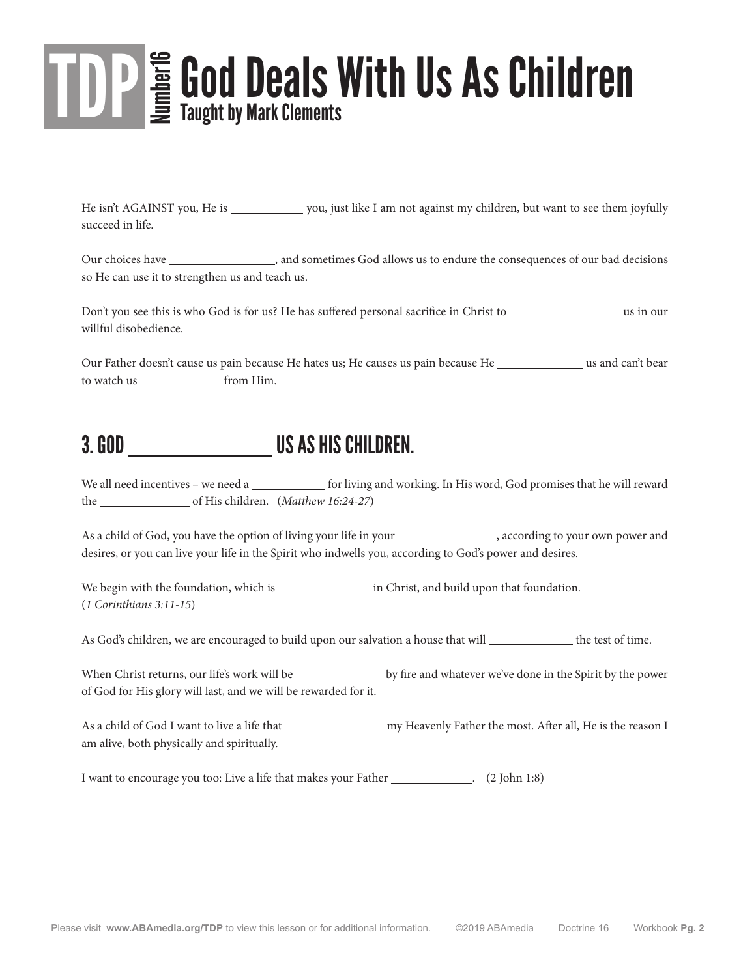# TDP E God Deals With Us As Children Taught by Mark Clements

He isn't AGAINST you, He is you, just like I am not against my children, but want to see them joyfully succeed in life.

Our choices have , and sometimes God allows us to endure the consequences of our bad decisions so He can use it to strengthen us and teach us.

Don't you see this is who God is for us? He has suffered personal sacrifice in Christ to use us in our willful disobedience.

Our Father doesn't cause us pain because He hates us; He causes us pain because He use and can't bear to watch us \_\_\_\_\_\_\_\_\_\_\_\_\_\_\_\_\_\_ from Him.

#### 3. GOD US AS HIS CHILDREN.

We all need incentives – we need a for living and working. In His word, God promises that he will reward the of His children. (*Matthew 16:24-27*)

As a child of God, you have the option of living your life in your services and power and power and desires, or you can live your life in the Spirit who indwells you, according to God's power and desires.

We begin with the foundation, which is in Christ, and build upon that foundation. (*1 Corinthians 3:11-15*)

As God's children, we are encouraged to build upon our salvation a house that will \_\_\_\_\_\_\_\_\_\_\_\_\_\_ the test of time.

When Christ returns, our life's work will be by fire and whatever we've done in the Spirit by the power of God for His glory will last, and we will be rewarded for it.

As a child of God I want to live a life that my Heavenly Father the most. After all, He is the reason I am alive, both physically and spiritually.

I want to encourage you too: Live a life that makes your Father \_\_\_\_\_\_\_\_\_\_\_\_\_. (2 John 1:8)